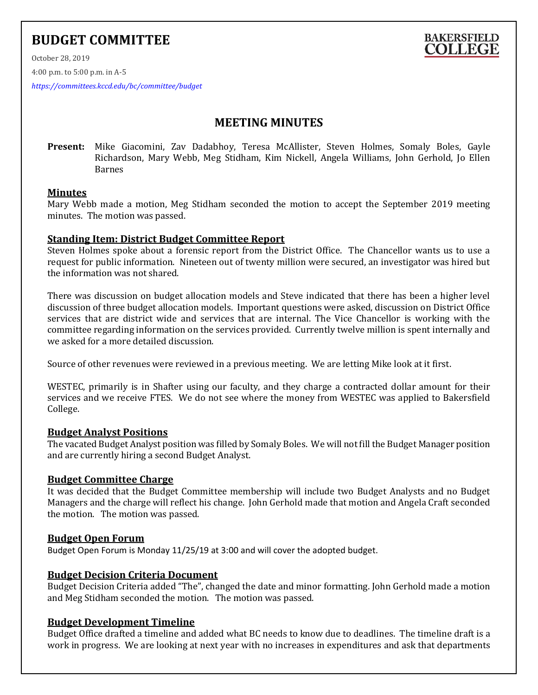# **BUDGET COMMITTEE**



October 28, 2019

4:00 p.m. to 5:00 p.m. in A-5

*<https://committees.kccd.edu/bc/committee/budget>*

## **MEETING MINUTES**

**Present:** Mike Giacomini, Zav Dadabhoy, Teresa McAllister, Steven Holmes, Somaly Boles, Gayle Richardson, Mary Webb, Meg Stidham, Kim Nickell, Angela Williams, John Gerhold, Jo Ellen Barnes

## **Minutes**

Mary Webb made a motion, Meg Stidham seconded the motion to accept the September 2019 meeting minutes. The motion was passed.

## **Standing Item: District Budget Committee Report**

Steven Holmes spoke about a forensic report from the District Office. The Chancellor wants us to use a request for public information. Nineteen out of twenty million were secured, an investigator was hired but the information was not shared.

There was discussion on budget allocation models and Steve indicated that there has been a higher level discussion of three budget allocation models. Important questions were asked, discussion on District Office services that are district wide and services that are internal. The Vice Chancellor is working with the committee regarding information on the services provided. Currently twelve million is spent internally and we asked for a more detailed discussion.

Source of other revenues were reviewed in a previous meeting. We are letting Mike look at it first.

WESTEC, primarily is in Shafter using our faculty, and they charge a contracted dollar amount for their services and we receive FTES. We do not see where the money from WESTEC was applied to Bakersfield College.

## **Budget Analyst Positions**

The vacated Budget Analyst position was filled by Somaly Boles. We will not fill the Budget Manager position and are currently hiring a second Budget Analyst.

## **Budget Committee Charge**

It was decided that the Budget Committee membership will include two Budget Analysts and no Budget Managers and the charge will reflect his change. John Gerhold made that motion and Angela Craft seconded the motion. The motion was passed.

## **Budget Open Forum**

Budget Open Forum is Monday 11/25/19 at 3:00 and will cover the adopted budget.

## **Budget Decision Criteria Document**

Budget Decision Criteria added "The", changed the date and minor formatting. John Gerhold made a motion and Meg Stidham seconded the motion. The motion was passed.

## **Budget Development Timeline**

Budget Office drafted a timeline and added what BC needs to know due to deadlines. The timeline draft is a work in progress. We are looking at next year with no increases in expenditures and ask that departments